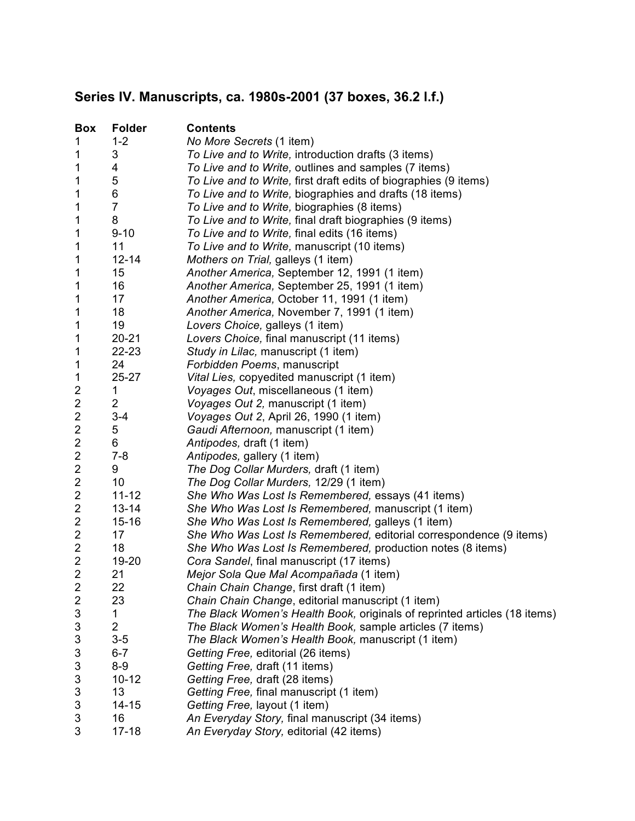## **Series IV. Manuscripts, ca. 1980s-2001 (37 boxes, 36.2 l.f.)**

| <b>Box</b>                | <b>Folder</b>  | <b>Contents</b>                                                           |
|---------------------------|----------------|---------------------------------------------------------------------------|
| 1                         | $1 - 2$        | No More Secrets (1 item)                                                  |
| 1                         | 3              | To Live and to Write, introduction drafts (3 items)                       |
| 1                         | 4              | To Live and to Write, outlines and samples (7 items)                      |
| 1                         | 5              | To Live and to Write, first draft edits of biographies (9 items)          |
| 1                         | 6              | To Live and to Write, biographies and drafts (18 items)                   |
| 1                         | $\overline{7}$ | To Live and to Write, biographies (8 items)                               |
| 1                         | 8              | To Live and to Write, final draft biographies (9 items)                   |
| 1                         | $9 - 10$       | To Live and to Write, final edits (16 items)                              |
| 1                         | 11             | To Live and to Write, manuscript (10 items)                               |
| 1                         | $12 - 14$      | Mothers on Trial, galleys (1 item)                                        |
| 1                         | 15             | Another America, September 12, 1991 (1 item)                              |
| 1                         | 16             | Another America, September 25, 1991 (1 item)                              |
| 1                         | 17             | Another America, October 11, 1991 (1 item)                                |
| 1                         | 18             | Another America, November 7, 1991 (1 item)                                |
| 1                         | 19             | Lovers Choice, galleys (1 item)                                           |
| 1                         | $20 - 21$      | Lovers Choice, final manuscript (11 items)                                |
| 1                         | 22-23          | Study in Lilac, manuscript (1 item)                                       |
| 1                         | 24             | Forbidden Poems, manuscript                                               |
| $\mathbf 1$               | 25-27          | Vital Lies, copyedited manuscript (1 item)                                |
| 2                         | 1              | Voyages Out, miscellaneous (1 item)                                       |
| $\overline{\mathbf{c}}$   | $\overline{2}$ | Voyages Out 2, manuscript (1 item)                                        |
| $\overline{\mathbf{c}}$   | $3 - 4$        | Voyages Out 2, April 26, 1990 (1 item)                                    |
| $\overline{\mathbf{c}}$   | 5              | Gaudi Afternoon, manuscript (1 item)                                      |
| $\overline{\mathbf{c}}$   | 6              | Antipodes, draft (1 item)                                                 |
| $\overline{\mathbf{c}}$   | $7 - 8$        | Antipodes, gallery (1 item)                                               |
| $\boldsymbol{2}$          | 9              | The Dog Collar Murders, draft (1 item)                                    |
| $\overline{c}$            | 10             | The Dog Collar Murders, 12/29 (1 item)                                    |
| $\overline{\mathbf{c}}$   | $11 - 12$      | She Who Was Lost Is Remembered, essays (41 items)                         |
| $\overline{\mathbf{c}}$   | $13 - 14$      | She Who Was Lost Is Remembered, manuscript (1 item)                       |
| $\overline{\mathbf{c}}$   | $15 - 16$      | She Who Was Lost Is Remembered, galleys (1 item)                          |
| $\boldsymbol{2}$          | 17             | She Who Was Lost Is Remembered, editorial correspondence (9 items)        |
| $\overline{2}$            | 18             | She Who Was Lost Is Remembered, production notes (8 items)                |
| $\overline{c}$            | 19-20          | Cora Sandel, final manuscript (17 items)                                  |
| $\overline{c}$            | 21             | Mejor Sola Que Mal Acompañada (1 item)                                    |
| $\overline{\mathbf{c}}$   | 22             | Chain Chain Change, first draft (1 item)                                  |
| 2                         | 23             | Chain Chain Change, editorial manuscript (1 item)                         |
| 3                         | 1              | The Black Women's Health Book, originals of reprinted articles (18 items) |
| 3                         | 2              | The Black Women's Health Book, sample articles (7 items)                  |
| $\ensuremath{\mathsf{3}}$ | $3-5$          | The Black Women's Health Book, manuscript (1 item)                        |
| 3                         | $6 - 7$        | Getting Free, editorial (26 items)                                        |
| 3                         | $8-9$          | Getting Free, draft (11 items)                                            |
| 3                         | $10 - 12$      | Getting Free, draft (28 items)                                            |
| 3                         | 13             | Getting Free, final manuscript (1 item)                                   |
| 3                         | $14 - 15$      | Getting Free, layout (1 item)                                             |
| 3                         | 16             | An Everyday Story, final manuscript (34 items)                            |
| 3                         | $17 - 18$      | An Everyday Story, editorial (42 items)                                   |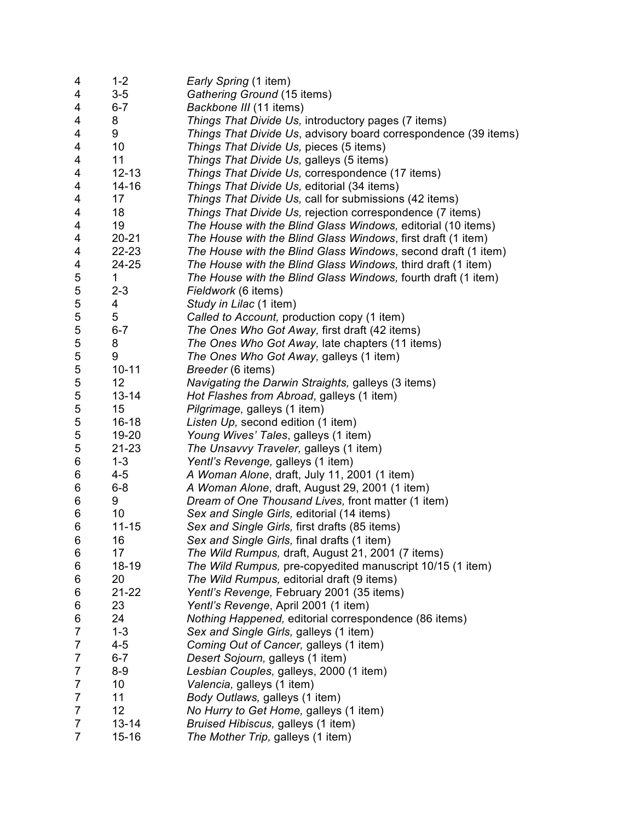| $1 - 2$   | Early Spring (1 item)                                                                                                                                                                                                                                                                                                                                        |
|-----------|--------------------------------------------------------------------------------------------------------------------------------------------------------------------------------------------------------------------------------------------------------------------------------------------------------------------------------------------------------------|
| $3-5$     | Gathering Ground (15 items)                                                                                                                                                                                                                                                                                                                                  |
| $6 - 7$   | Backbone III (11 items)                                                                                                                                                                                                                                                                                                                                      |
| 8         | Things That Divide Us, introductory pages (7 items)                                                                                                                                                                                                                                                                                                          |
| 9         | Things That Divide Us, advisory board correspondence (39 items)                                                                                                                                                                                                                                                                                              |
|           | Things That Divide Us, pieces (5 items)                                                                                                                                                                                                                                                                                                                      |
| 11        | Things That Divide Us, galleys (5 items)                                                                                                                                                                                                                                                                                                                     |
|           | Things That Divide Us, correspondence (17 items)                                                                                                                                                                                                                                                                                                             |
|           | Things That Divide Us, editorial (34 items)                                                                                                                                                                                                                                                                                                                  |
|           | Things That Divide Us, call for submissions (42 items)                                                                                                                                                                                                                                                                                                       |
|           | Things That Divide Us, rejection correspondence (7 items)                                                                                                                                                                                                                                                                                                    |
|           | The House with the Blind Glass Windows, editorial (10 items)                                                                                                                                                                                                                                                                                                 |
|           | The House with the Blind Glass Windows, first draft (1 item)                                                                                                                                                                                                                                                                                                 |
|           | The House with the Blind Glass Windows, second draft (1 item)                                                                                                                                                                                                                                                                                                |
|           | The House with the Blind Glass Windows, third draft (1 item)                                                                                                                                                                                                                                                                                                 |
|           | The House with the Blind Glass Windows, fourth draft (1 item)                                                                                                                                                                                                                                                                                                |
|           | Fieldwork (6 items)                                                                                                                                                                                                                                                                                                                                          |
|           | Study in Lilac (1 item)                                                                                                                                                                                                                                                                                                                                      |
|           | Called to Account, production copy (1 item)                                                                                                                                                                                                                                                                                                                  |
|           | The Ones Who Got Away, first draft (42 items)                                                                                                                                                                                                                                                                                                                |
|           | The Ones Who Got Away, late chapters (11 items)                                                                                                                                                                                                                                                                                                              |
|           | The Ones Who Got Away, galleys (1 item)                                                                                                                                                                                                                                                                                                                      |
|           | Breeder (6 items)                                                                                                                                                                                                                                                                                                                                            |
|           | Navigating the Darwin Straights, galleys (3 items)                                                                                                                                                                                                                                                                                                           |
|           |                                                                                                                                                                                                                                                                                                                                                              |
|           | Hot Flashes from Abroad, galleys (1 item)                                                                                                                                                                                                                                                                                                                    |
|           | Pilgrimage, galleys (1 item)                                                                                                                                                                                                                                                                                                                                 |
|           | Listen Up, second edition (1 item)                                                                                                                                                                                                                                                                                                                           |
|           | Young Wives' Tales, galleys (1 item)                                                                                                                                                                                                                                                                                                                         |
|           | The Unsavvy Traveler, galleys (1 item)                                                                                                                                                                                                                                                                                                                       |
|           | Yentl's Revenge, galleys (1 item)                                                                                                                                                                                                                                                                                                                            |
|           | A Woman Alone, draft, July 11, 2001 (1 item)                                                                                                                                                                                                                                                                                                                 |
|           | A Woman Alone, draft, August 29, 2001 (1 item)                                                                                                                                                                                                                                                                                                               |
|           | Dream of One Thousand Lives, front matter (1 item)                                                                                                                                                                                                                                                                                                           |
|           | Sex and Single Girls, editorial (14 items)                                                                                                                                                                                                                                                                                                                   |
|           | Sex and Single Girls, first drafts (85 items)                                                                                                                                                                                                                                                                                                                |
|           | Sex and Single Girls, final drafts (1 item)                                                                                                                                                                                                                                                                                                                  |
|           | The Wild Rumpus, draft, August 21, 2001 (7 items)                                                                                                                                                                                                                                                                                                            |
|           | The Wild Rumpus, pre-copyedited manuscript 10/15 (1 item)                                                                                                                                                                                                                                                                                                    |
|           | The Wild Rumpus, editorial draft (9 items)                                                                                                                                                                                                                                                                                                                   |
|           | Yentl's Revenge, February 2001 (35 items)                                                                                                                                                                                                                                                                                                                    |
|           | Yentl's Revenge, April 2001 (1 item)                                                                                                                                                                                                                                                                                                                         |
|           | Nothing Happened, editorial correspondence (86 items)                                                                                                                                                                                                                                                                                                        |
|           | Sex and Single Girls, galleys (1 item)                                                                                                                                                                                                                                                                                                                       |
|           | Coming Out of Cancer, galleys (1 item)                                                                                                                                                                                                                                                                                                                       |
|           | Desert Sojourn, galleys (1 item)                                                                                                                                                                                                                                                                                                                             |
|           | Lesbian Couples, galleys, 2000 (1 item)                                                                                                                                                                                                                                                                                                                      |
|           | Valencia, galleys (1 item)                                                                                                                                                                                                                                                                                                                                   |
|           | Body Outlaws, galleys (1 item)                                                                                                                                                                                                                                                                                                                               |
| 12        | No Hurry to Get Home, galleys (1 item)                                                                                                                                                                                                                                                                                                                       |
| $13 - 14$ | Bruised Hibiscus, galleys (1 item)                                                                                                                                                                                                                                                                                                                           |
| $15 - 16$ | The Mother Trip, galleys (1 item)                                                                                                                                                                                                                                                                                                                            |
|           | 10<br>$12 - 13$<br>$14 - 16$<br>17<br>18<br>19<br>$20 - 21$<br>22-23<br>24-25<br>1<br>$2 - 3$<br>4<br>5<br>$6 - 7$<br>8<br>9<br>$10 - 11$<br>12<br>$13 - 14$<br>15<br>$16 - 18$<br>19-20<br>21-23<br>$1 - 3$<br>4-5<br>$6 - 8$<br>9<br>10<br>$11 - 15$<br>16<br>17<br>18-19<br>20<br>21-22<br>23<br>24<br>$1 - 3$<br>$4 - 5$<br>$6 - 7$<br>$8-9$<br>10<br>11 |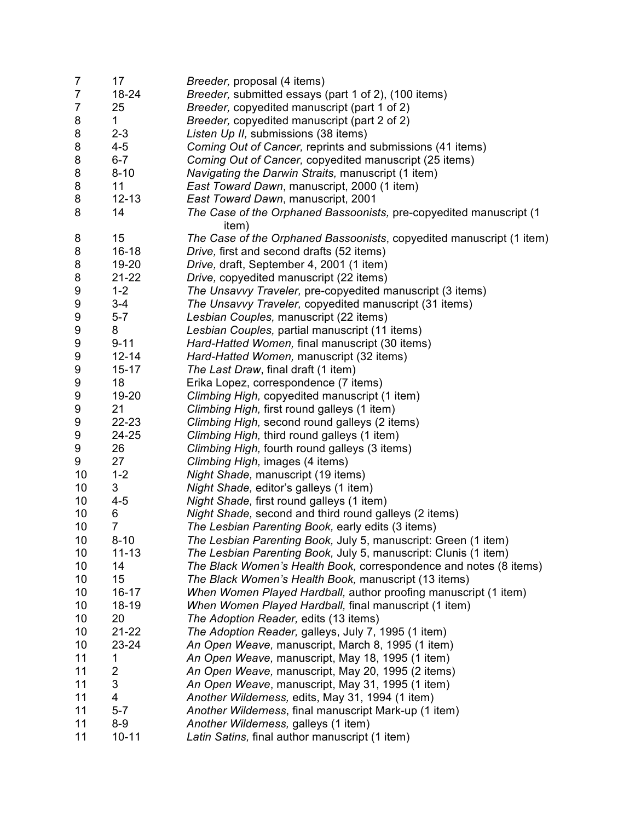| $\overline{7}$ | 17             | <i>Breeder, proposal (4 items)</i>                                          |
|----------------|----------------|-----------------------------------------------------------------------------|
| $\overline{7}$ | 18-24          | Breeder, submitted essays (part 1 of 2), (100 items)                        |
| $\overline{7}$ | 25             | Breeder, copyedited manuscript (part 1 of 2)                                |
| 8              | 1              | Breeder, copyedited manuscript (part 2 of 2)                                |
| 8              | $2 - 3$        | Listen Up II, submissions (38 items)                                        |
| 8              | $4 - 5$        | Coming Out of Cancer, reprints and submissions (41 items)                   |
| 8              | $6 - 7$        | Coming Out of Cancer, copyedited manuscript (25 items)                      |
| 8              | $8 - 10$       | Navigating the Darwin Straits, manuscript (1 item)                          |
| 8              | 11             | East Toward Dawn, manuscript, 2000 (1 item)                                 |
| 8              | $12 - 13$      | East Toward Dawn, manuscript, 2001                                          |
| 8              | 14             | The Case of the Orphaned Bassoonists, pre-copyedited manuscript (1<br>item) |
| 8              | 15             | The Case of the Orphaned Bassoonists, copyedited manuscript (1 item)        |
| 8              | $16 - 18$      | Drive, first and second drafts (52 items)                                   |
| 8              | 19-20          | Drive, draft, September 4, 2001 (1 item)                                    |
| 8              | $21 - 22$      | Drive, copyedited manuscript (22 items)                                     |
| 9              | $1 - 2$        | The Unsavvy Traveler, pre-copyedited manuscript (3 items)                   |
| 9              | $3 - 4$        | The Unsavvy Traveler, copyedited manuscript (31 items)                      |
| 9              | $5 - 7$        | Lesbian Couples, manuscript (22 items)                                      |
| 9              | 8              | Lesbian Couples, partial manuscript (11 items)                              |
| 9              | $9 - 11$       | Hard-Hatted Women, final manuscript (30 items)                              |
| 9              | $12 - 14$      | Hard-Hatted Women, manuscript (32 items)                                    |
| 9              | $15 - 17$      | The Last Draw, final draft (1 item)                                         |
| 9              | 18             | Erika Lopez, correspondence (7 items)                                       |
| 9              | 19-20          | Climbing High, copyedited manuscript (1 item)                               |
| 9              | 21             | Climbing High, first round galleys (1 item)                                 |
| 9              | 22-23          | Climbing High, second round galleys (2 items)                               |
| 9              | 24-25          | Climbing High, third round galleys (1 item)                                 |
| 9              | 26             | Climbing High, fourth round galleys (3 items)                               |
| 9              | 27             | Climbing High, images (4 items)                                             |
| 10             | $1 - 2$        | Night Shade, manuscript (19 items)                                          |
| 10             | 3              | Night Shade, editor's galleys (1 item)                                      |
| 10             | $4 - 5$        | Night Shade, first round galleys (1 item)                                   |
| 10             | 6              | Night Shade, second and third round galleys (2 items)                       |
| 10             | $\overline{7}$ | The Lesbian Parenting Book, early edits (3 items)                           |
| 10             | $8 - 10$       | The Lesbian Parenting Book, July 5, manuscript: Green (1 item)              |
| 10             | $11 - 13$      | The Lesbian Parenting Book, July 5, manuscript: Clunis (1 item)             |
| 10             | 14             | The Black Women's Health Book, correspondence and notes (8 items)           |
| 10             | 15             | The Black Women's Health Book, manuscript (13 items)                        |
| 10             | $16 - 17$      | When Women Played Hardball, author proofing manuscript (1 item)             |
| 10             | 18-19          | When Women Played Hardball, final manuscript (1 item)                       |
| 10             | 20             | The Adoption Reader, edits (13 items)                                       |
| 10             | $21 - 22$      | The Adoption Reader, galleys, July 7, 1995 (1 item)                         |
| 10             | 23-24          | An Open Weave, manuscript, March 8, 1995 (1 item)                           |
| 11             | 1              | An Open Weave, manuscript, May 18, 1995 (1 item)                            |
| 11             | $\overline{2}$ | An Open Weave, manuscript, May 20, 1995 (2 items)                           |
| 11             | 3              | An Open Weave, manuscript, May 31, 1995 (1 item)                            |
| 11             | 4              | Another Wilderness, edits, May 31, 1994 (1 item)                            |
| 11             | $5 - 7$        | Another Wilderness, final manuscript Mark-up (1 item)                       |
| 11             | $8-9$          | Another Wilderness, galleys (1 item)                                        |
| 11             | $10 - 11$      | Latin Satins, final author manuscript (1 item)                              |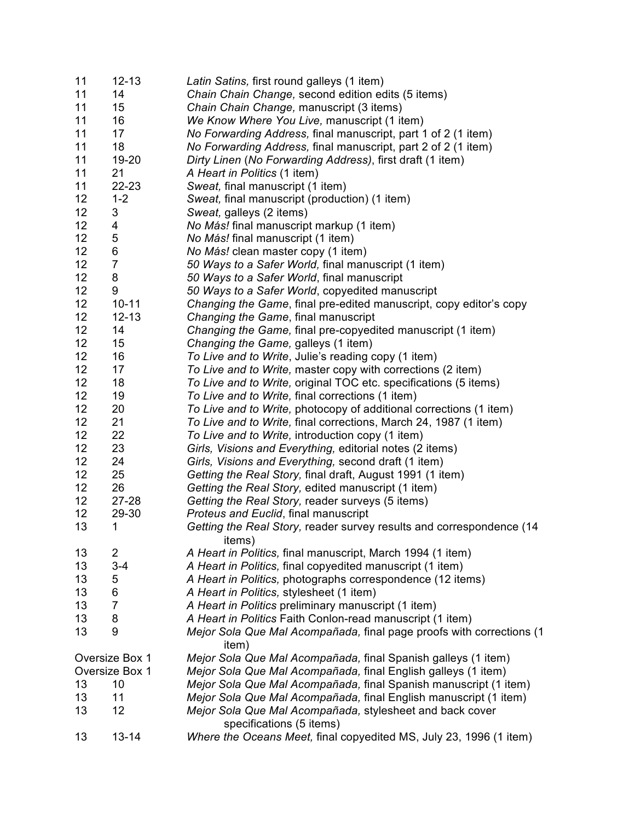| 11 | $12 - 13$      | Latin Satins, first round galleys (1 item)                                           |
|----|----------------|--------------------------------------------------------------------------------------|
| 11 | 14             | Chain Chain Change, second edition edits (5 items)                                   |
| 11 | 15             | Chain Chain Change, manuscript (3 items)                                             |
| 11 | 16             | We Know Where You Live, manuscript (1 item)                                          |
| 11 | 17             | No Forwarding Address, final manuscript, part 1 of 2 (1 item)                        |
| 11 | 18             | No Forwarding Address, final manuscript, part 2 of 2 (1 item)                        |
| 11 | 19-20          | Dirty Linen (No Forwarding Address), first draft (1 item)                            |
| 11 | 21             | A Heart in Politics (1 item)                                                         |
| 11 | 22-23          | Sweat, final manuscript (1 item)                                                     |
| 12 | $1 - 2$        | Sweat, final manuscript (production) (1 item)                                        |
| 12 | 3              | Sweat, galleys (2 items)                                                             |
| 12 | 4              | No Más! final manuscript markup (1 item)                                             |
| 12 | 5              | No Más! final manuscript (1 item)                                                    |
| 12 | 6              | No Más! clean master copy (1 item)                                                   |
| 12 | $\overline{7}$ | 50 Ways to a Safer World, final manuscript (1 item)                                  |
| 12 | 8              | 50 Ways to a Safer World, final manuscript                                           |
| 12 | 9              | 50 Ways to a Safer World, copyedited manuscript                                      |
| 12 | $10 - 11$      | Changing the Game, final pre-edited manuscript, copy editor's copy                   |
| 12 | $12 - 13$      | Changing the Game, final manuscript                                                  |
| 12 | 14             | Changing the Game, final pre-copyedited manuscript (1 item)                          |
| 12 | 15             | Changing the Game, galleys (1 item)                                                  |
| 12 | 16             | To Live and to Write, Julie's reading copy (1 item)                                  |
| 12 | 17             | To Live and to Write, master copy with corrections (2 item)                          |
| 12 | 18             | To Live and to Write, original TOC etc. specifications (5 items)                     |
| 12 | 19             | To Live and to Write, final corrections (1 item)                                     |
| 12 |                |                                                                                      |
|    | 20             | To Live and to Write, photocopy of additional corrections (1 item)                   |
| 12 | 21             | To Live and to Write, final corrections, March 24, 1987 (1 item)                     |
| 12 | 22             | To Live and to Write, introduction copy (1 item)                                     |
| 12 | 23             | Girls, Visions and Everything, editorial notes (2 items)                             |
| 12 | 24             | Girls, Visions and Everything, second draft (1 item)                                 |
| 12 | 25             | Getting the Real Story, final draft, August 1991 (1 item)                            |
| 12 | 26             | Getting the Real Story, edited manuscript (1 item)                                   |
| 12 | $27 - 28$      | Getting the Real Story, reader surveys (5 items)                                     |
| 12 | 29-30          | Proteus and Euclid, final manuscript                                                 |
| 13 | 1              | Getting the Real Story, reader survey results and correspondence (14<br>items)       |
| 13 | $\overline{c}$ | A Heart in Politics, final manuscript, March 1994 (1 item)                           |
| 13 | $3 - 4$        | A Heart in Politics, final copyedited manuscript (1 item)                            |
| 13 | 5              | A Heart in Politics, photographs correspondence (12 items)                           |
| 13 | 6              | A Heart in Politics, stylesheet (1 item)                                             |
| 13 | $\overline{7}$ | A Heart in Politics preliminary manuscript (1 item)                                  |
| 13 | 8              | A Heart in Politics Faith Conlon-read manuscript (1 item)                            |
| 13 | 9              | Mejor Sola Que Mal Acompañada, final page proofs with corrections (1                 |
|    | Oversize Box 1 | item)<br>Mejor Sola Que Mal Acompañada, final Spanish galleys (1 item)               |
|    |                |                                                                                      |
|    | Oversize Box 1 | Mejor Sola Que Mal Acompañada, final English galleys (1 item)                        |
| 13 | 10             | Mejor Sola Que Mal Acompañada, final Spanish manuscript (1 item)                     |
| 13 | 11             | Mejor Sola Que Mal Acompañada, final English manuscript (1 item)                     |
| 13 | 12             | Mejor Sola Que Mal Acompañada, stylesheet and back cover<br>specifications (5 items) |
| 13 | $13 - 14$      | Where the Oceans Meet, final copyedited MS, July 23, 1996 (1 item)                   |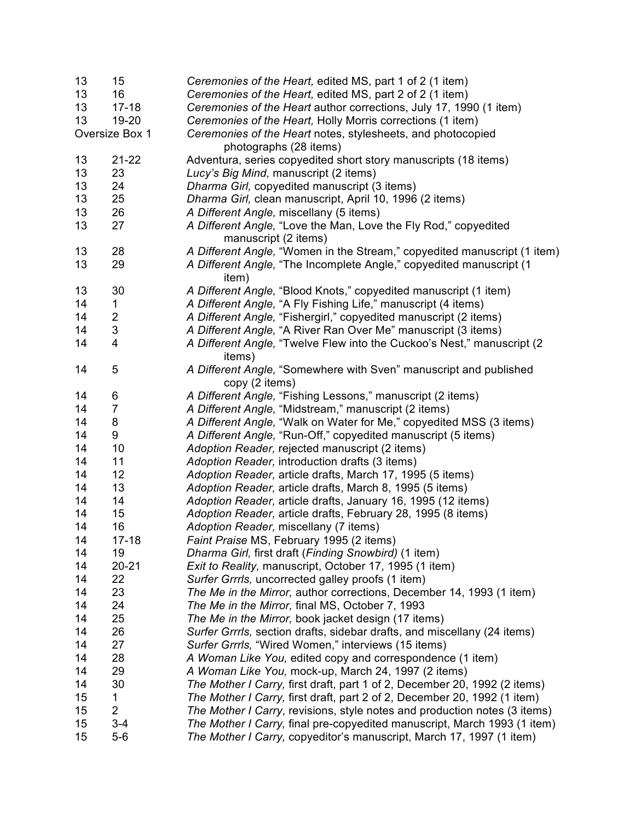| 13 | 15                      | Ceremonies of the Heart, edited MS, part 1 of 2 (1 item)                  |
|----|-------------------------|---------------------------------------------------------------------------|
| 13 | 16                      | Ceremonies of the Heart, edited MS, part 2 of 2 (1 item)                  |
| 13 | $17 - 18$               | Ceremonies of the Heart author corrections, July 17, 1990 (1 item)        |
| 13 | 19-20                   | Ceremonies of the Heart, Holly Morris corrections (1 item)                |
|    | Oversize Box 1          | Ceremonies of the Heart notes, stylesheets, and photocopied               |
|    |                         | photographs (28 items)                                                    |
| 13 | $21 - 22$               | Adventura, series copyedited short story manuscripts (18 items)           |
| 13 | 23                      | Lucy's Big Mind, manuscript (2 items)                                     |
| 13 | 24                      | Dharma Girl, copyedited manuscript (3 items)                              |
| 13 | 25                      | Dharma Girl, clean manuscript, April 10, 1996 (2 items)                   |
| 13 | 26                      | A Different Angle, miscellany (5 items)                                   |
| 13 | 27                      | A Different Angle, "Love the Man, Love the Fly Rod," copyedited           |
|    |                         | manuscript (2 items)                                                      |
| 13 | 28                      | A Different Angle, "Women in the Stream," copyedited manuscript (1 item)  |
| 13 | 29                      | A Different Angle, "The Incomplete Angle," copyedited manuscript (1       |
|    |                         | item)                                                                     |
| 13 | 30                      | A Different Angle, "Blood Knots," copyedited manuscript (1 item)          |
| 14 | 1                       | A Different Angle, "A Fly Fishing Life," manuscript (4 items)             |
| 14 | $\overline{c}$          | A Different Angle, "Fishergirl," copyedited manuscript (2 items)          |
| 14 | $\sqrt{3}$              | A Different Angle, "A River Ran Over Me" manuscript (3 items)             |
| 14 | $\overline{\mathbf{4}}$ | A Different Angle, "Twelve Flew into the Cuckoo's Nest," manuscript (2)   |
|    |                         | items)                                                                    |
| 14 | 5                       | A Different Angle, "Somewhere with Sven" manuscript and published         |
|    |                         | copy (2 items)                                                            |
| 14 |                         | A Different Angle, "Fishing Lessons," manuscript (2 items)                |
| 14 | 6<br>$\overline{7}$     |                                                                           |
|    |                         | A Different Angle, "Midstream," manuscript (2 items)                      |
| 14 | 8                       | A Different Angle, "Walk on Water for Me," copyedited MSS (3 items)       |
| 14 | 9                       | A Different Angle, "Run-Off," copyedited manuscript (5 items)             |
| 14 | 10                      | Adoption Reader, rejected manuscript (2 items)                            |
| 14 | 11                      | Adoption Reader, introduction drafts (3 items)                            |
| 14 | 12                      | Adoption Reader, article drafts, March 17, 1995 (5 items)                 |
| 14 | 13                      | Adoption Reader, article drafts, March 8, 1995 (5 items)                  |
| 14 | 14                      | Adoption Reader, article drafts, January 16, 1995 (12 items)              |
| 14 | 15                      | Adoption Reader, article drafts, February 28, 1995 (8 items)              |
| 14 | 16                      | Adoption Reader, miscellany (7 items)                                     |
| 14 | $17 - 18$               | Faint Praise MS, February 1995 (2 items)                                  |
| 14 | 19                      | Dharma Girl, first draft (Finding Snowbird) (1 item)                      |
| 14 | $20 - 21$               | Exit to Reality, manuscript, October 17, 1995 (1 item)                    |
| 14 | 22                      | Surfer Grrrls, uncorrected galley proofs (1 item)                         |
| 14 | 23                      | The Me in the Mirror, author corrections, December 14, 1993 (1 item)      |
| 14 | 24                      | The Me in the Mirror, final MS, October 7, 1993                           |
| 14 | 25                      | The Me in the Mirror, book jacket design (17 items)                       |
| 14 | 26                      | Surfer Grrrls, section drafts, sidebar drafts, and miscellany (24 items)  |
| 14 | 27                      | Surfer Grrrls, "Wired Women," interviews (15 items)                       |
| 14 | 28                      | A Woman Like You, edited copy and correspondence (1 item)                 |
| 14 | 29                      | A Woman Like You, mock-up, March 24, 1997 (2 items)                       |
| 14 | 30                      | The Mother I Carry, first draft, part 1 of 2, December 20, 1992 (2 items) |
| 15 | 1                       | The Mother I Carry, first draft, part 2 of 2, December 20, 1992 (1 item)  |
| 15 | $\overline{2}$          | The Mother I Carry, revisions, style notes and production notes (3 items) |
| 15 | $3 - 4$                 | The Mother I Carry, final pre-copyedited manuscript, March 1993 (1 item)  |
| 15 | $5-6$                   | The Mother I Carry, copyeditor's manuscript, March 17, 1997 (1 item)      |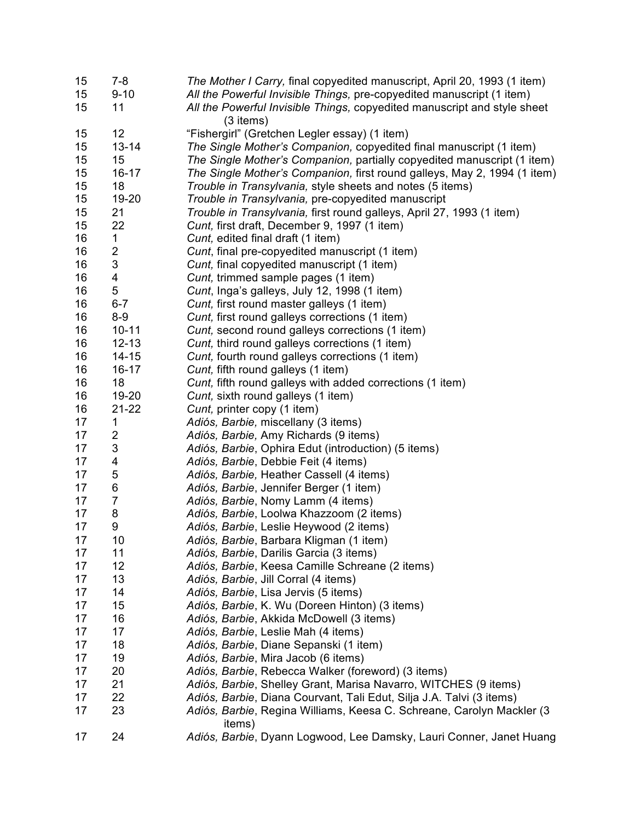| 15 | $7-8$          | The Mother I Carry, final copyedited manuscript, April 20, 1993 (1 item)                          |
|----|----------------|---------------------------------------------------------------------------------------------------|
| 15 | $9 - 10$       | All the Powerful Invisible Things, pre-copyedited manuscript (1 item)                             |
| 15 | 11             | All the Powerful Invisible Things, copyedited manuscript and style sheet                          |
|    |                | $(3$ items)                                                                                       |
| 15 | 12             | "Fishergirl" (Gretchen Legler essay) (1 item)                                                     |
| 15 | $13 - 14$      | The Single Mother's Companion, copyedited final manuscript (1 item)                               |
| 15 | 15             | The Single Mother's Companion, partially copyedited manuscript (1 item)                           |
| 15 | $16 - 17$      | The Single Mother's Companion, first round galleys, May 2, 1994 (1 item)                          |
| 15 | 18             | Trouble in Transylvania, style sheets and notes (5 items)                                         |
| 15 | 19-20          | Trouble in Transylvania, pre-copyedited manuscript                                                |
| 15 | 21             | Trouble in Transylvania, first round galleys, April 27, 1993 (1 item)                             |
| 15 | 22             | Cunt, first draft, December 9, 1997 (1 item)                                                      |
| 16 | 1              | Cunt, edited final draft (1 item)                                                                 |
| 16 | 2              | Cunt, final pre-copyedited manuscript (1 item)                                                    |
| 16 | 3              | Cunt, final copyedited manuscript (1 item)                                                        |
| 16 | 4              | Cunt, trimmed sample pages (1 item)                                                               |
| 16 | 5              | Cunt, Inga's galleys, July 12, 1998 (1 item)                                                      |
| 16 | $6 - 7$        | Cunt, first round master galleys (1 item)                                                         |
| 16 | $8 - 9$        | Cunt, first round galleys corrections (1 item)                                                    |
| 16 | $10 - 11$      |                                                                                                   |
| 16 | $12 - 13$      | Cunt, second round galleys corrections (1 item)<br>Cunt, third round galleys corrections (1 item) |
|    | $14 - 15$      |                                                                                                   |
| 16 |                | Cunt, fourth round galleys corrections (1 item)                                                   |
| 16 | $16 - 17$      | Cunt, fifth round galleys (1 item)                                                                |
| 16 | 18             | Cunt, fifth round galleys with added corrections (1 item)                                         |
| 16 | 19-20          | Cunt, sixth round galleys (1 item)                                                                |
| 16 | $21 - 22$      | Cunt, printer copy (1 item)                                                                       |
| 17 | 1              | Adiós, Barbie, miscellany (3 items)                                                               |
| 17 | 2              | Adiós, Barbie, Amy Richards (9 items)                                                             |
| 17 | 3              | Adiós, Barbie, Ophira Edut (introduction) (5 items)                                               |
| 17 | 4              | Adiós, Barbie, Debbie Feit (4 items)                                                              |
| 17 | 5              | Adiós, Barbie, Heather Cassell (4 items)                                                          |
| 17 | 6              | Adiós, Barbie, Jennifer Berger (1 item)                                                           |
| 17 | $\overline{7}$ | Adiós, Barbie, Nomy Lamm (4 items)                                                                |
| 17 | 8              | Adiós, Barbie, Loolwa Khazzoom (2 items)                                                          |
| 17 | 9              | Adiós, Barbie, Leslie Heywood (2 items)                                                           |
| 17 | 10             | Adiós, Barbie, Barbara Kligman (1 item)                                                           |
| 17 | 11             | Adiós, Barbie, Darilis Garcia (3 items)                                                           |
| 17 | 12             | Adiós, Barbie, Keesa Camille Schreane (2 items)                                                   |
| 17 | 13             | Adiós, Barbie, Jill Corral (4 items)                                                              |
| 17 | 14             | Adiós, Barbie, Lisa Jervis (5 items)                                                              |
| 17 | 15             | Adiós, Barbie, K. Wu (Doreen Hinton) (3 items)                                                    |
| 17 | 16             | Adiós, Barbie, Akkida McDowell (3 items)                                                          |
| 17 | 17             | Adiós, Barbie, Leslie Mah (4 items)                                                               |
| 17 | 18             | Adiós, Barbie, Diane Sepanski (1 item)                                                            |
| 17 | 19             | Adiós, Barbie, Mira Jacob (6 items)                                                               |
| 17 | 20             | Adiós, Barbie, Rebecca Walker (foreword) (3 items)                                                |
| 17 | 21             | Adiós, Barbie, Shelley Grant, Marisa Navarro, WITCHES (9 items)                                   |
| 17 | 22             | Adiós, Barbie, Diana Courvant, Tali Edut, Silja J.A. Talvi (3 items)                              |
| 17 | 23             | Adiós, Barbie, Regina Williams, Keesa C. Schreane, Carolyn Mackler (3<br>items)                   |
| 17 | 24             | Adiós, Barbie, Dyann Logwood, Lee Damsky, Lauri Conner, Janet Huang                               |
|    |                |                                                                                                   |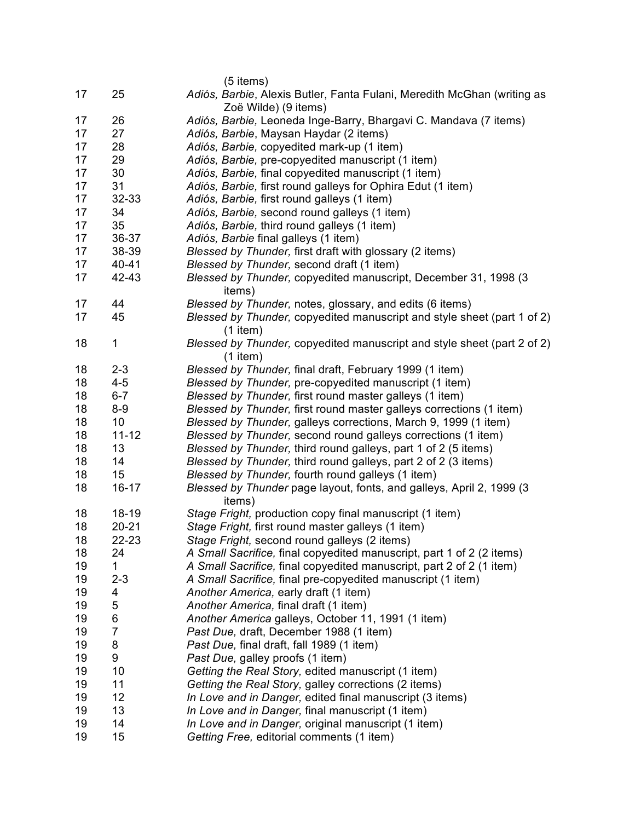|    |                | $(5$ items)                                                                                     |
|----|----------------|-------------------------------------------------------------------------------------------------|
| 17 | 25             | Adiós, Barbie, Alexis Butler, Fanta Fulani, Meredith McGhan (writing as<br>Zoë Wilde) (9 items) |
| 17 | 26             | Adiós, Barbie, Leoneda Inge-Barry, Bhargavi C. Mandava (7 items)                                |
| 17 | 27             | Adiós, Barbie, Maysan Haydar (2 items)                                                          |
| 17 | 28             | Adiós, Barbie, copyedited mark-up (1 item)                                                      |
| 17 | 29             | Adiós, Barbie, pre-copyedited manuscript (1 item)                                               |
| 17 | 30             | Adiós, Barbie, final copyedited manuscript (1 item)                                             |
| 17 | 31             | Adiós, Barbie, first round galleys for Ophira Edut (1 item)                                     |
| 17 | 32-33          | Adiós, Barbie, first round galleys (1 item)                                                     |
| 17 | 34             | Adiós, Barbie, second round galleys (1 item)                                                    |
| 17 | 35             | Adiós, Barbie, third round galleys (1 item)                                                     |
| 17 | 36-37          | Adiós, Barbie final galleys (1 item)                                                            |
| 17 | 38-39          | Blessed by Thunder, first draft with glossary (2 items)                                         |
| 17 | 40-41          | Blessed by Thunder, second draft (1 item)                                                       |
| 17 | 42-43          |                                                                                                 |
|    |                | Blessed by Thunder, copyedited manuscript, December 31, 1998 (3<br>items)                       |
| 17 | 44             | Blessed by Thunder, notes, glossary, and edits (6 items)                                        |
| 17 | 45             | Blessed by Thunder, copyedited manuscript and style sheet (part 1 of 2)<br>$(1$ item)           |
| 18 | $\mathbf{1}$   | Blessed by Thunder, copyedited manuscript and style sheet (part 2 of 2)                         |
|    |                | $(1$ item)                                                                                      |
| 18 | $2 - 3$        | Blessed by Thunder, final draft, February 1999 (1 item)                                         |
| 18 | $4 - 5$        | Blessed by Thunder, pre-copyedited manuscript (1 item)                                          |
| 18 | $6 - 7$        | Blessed by Thunder, first round master galleys (1 item)                                         |
| 18 | $8-9$          | Blessed by Thunder, first round master galleys corrections (1 item)                             |
| 18 | 10             | Blessed by Thunder, galleys corrections, March 9, 1999 (1 item)                                 |
| 18 | $11 - 12$      | Blessed by Thunder, second round galleys corrections (1 item)                                   |
| 18 | 13             | Blessed by Thunder, third round galleys, part 1 of 2 (5 items)                                  |
| 18 | 14             | Blessed by Thunder, third round galleys, part 2 of 2 (3 items)                                  |
| 18 | 15             | Blessed by Thunder, fourth round galleys (1 item)                                               |
| 18 | $16 - 17$      | Blessed by Thunder page layout, fonts, and galleys, April 2, 1999 (3)                           |
|    |                | items)                                                                                          |
| 18 | $18 - 19$      | Stage Fright, production copy final manuscript (1 item)                                         |
| 18 | $20 - 21$      | Stage Fright, first round master galleys (1 item)                                               |
| 18 | 22-23          | Stage Fright, second round galleys (2 items)                                                    |
| 18 | 24             | A Small Sacrifice, final copyedited manuscript, part 1 of 2 (2 items)                           |
| 19 | 1              | A Small Sacrifice, final copyedited manuscript, part 2 of 2 (1 item)                            |
| 19 | $2 - 3$        | A Small Sacrifice, final pre-copyedited manuscript (1 item)                                     |
| 19 | 4              | Another America, early draft (1 item)                                                           |
| 19 | 5              | Another America, final draft (1 item)                                                           |
| 19 | 6              | Another America galleys, October 11, 1991 (1 item)                                              |
| 19 | $\overline{7}$ | Past Due, draft, December 1988 (1 item)                                                         |
| 19 | 8              | Past Due, final draft, fall 1989 (1 item)                                                       |
| 19 | 9              | Past Due, galley proofs (1 item)                                                                |
| 19 | 10             | Getting the Real Story, edited manuscript (1 item)                                              |
| 19 | 11             | Getting the Real Story, galley corrections (2 items)                                            |
| 19 | 12             | In Love and in Danger, edited final manuscript (3 items)                                        |
| 19 | 13             | In Love and in Danger, final manuscript (1 item)                                                |
| 19 | 14             | In Love and in Danger, original manuscript (1 item)                                             |
| 19 | 15             | Getting Free, editorial comments (1 item)                                                       |
|    |                |                                                                                                 |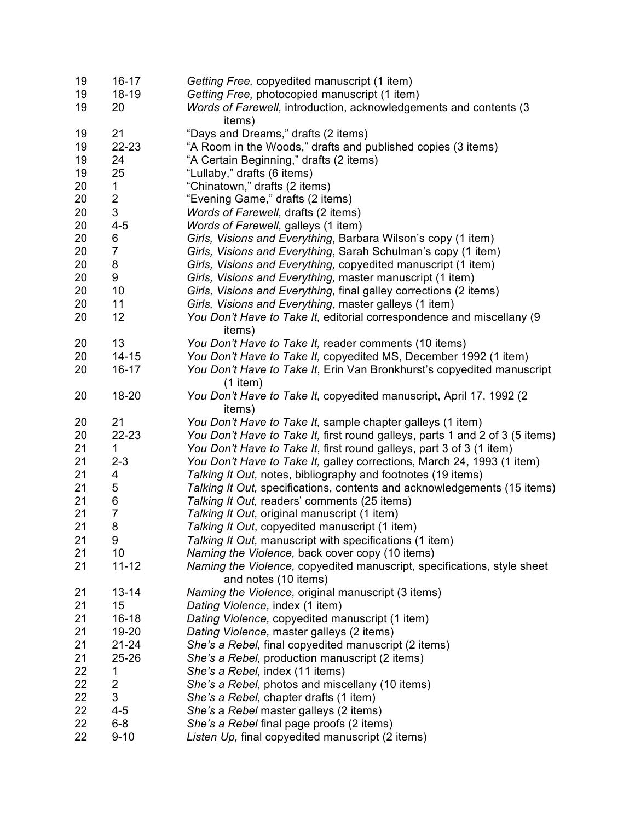| 19       | $16 - 17$           | Getting Free, copyedited manuscript (1 item)                                                    |
|----------|---------------------|-------------------------------------------------------------------------------------------------|
| 19       | 18-19               | Getting Free, photocopied manuscript (1 item)                                                   |
| 19       | 20                  | Words of Farewell, introduction, acknowledgements and contents (3<br>items)                     |
| 19       | 21                  | "Days and Dreams," drafts (2 items)                                                             |
|          |                     |                                                                                                 |
| 19       | 22-23               | "A Room in the Woods," drafts and published copies (3 items)                                    |
| 19       | 24                  | "A Certain Beginning," drafts (2 items)                                                         |
| 19       | 25                  | "Lullaby," drafts (6 items)                                                                     |
| 20       | 1                   | "Chinatown," drafts (2 items)                                                                   |
| 20       | $\overline{c}$      | "Evening Game," drafts (2 items)                                                                |
| 20       | 3                   | Words of Farewell, drafts (2 items)                                                             |
| 20       | $4 - 5$             | Words of Farewell, galleys (1 item)                                                             |
| 20       | 6                   | Girls, Visions and Everything, Barbara Wilson's copy (1 item)                                   |
| 20       | $\overline{7}$      | Girls, Visions and Everything, Sarah Schulman's copy (1 item)                                   |
| 20       | 8                   | Girls, Visions and Everything, copyedited manuscript (1 item)                                   |
| 20       | 9                   | Girls, Visions and Everything, master manuscript (1 item)                                       |
| 20       | 10                  | Girls, Visions and Everything, final galley corrections (2 items)                               |
| 20       | 11                  | Girls, Visions and Everything, master galleys (1 item)                                          |
| 20       | 12                  | You Don't Have to Take It, editorial correspondence and miscellany (9                           |
|          |                     | items)                                                                                          |
| 20       | 13                  | You Don't Have to Take It, reader comments (10 items)                                           |
| 20       | $14 - 15$           | You Don't Have to Take It, copyedited MS, December 1992 (1 item)                                |
| 20       | $16 - 17$           | You Don't Have to Take It, Erin Van Bronkhurst's copyedited manuscript<br>$(1$ item)            |
| 20       | 18-20               | You Don't Have to Take It, copyedited manuscript, April 17, 1992 (2<br>items)                   |
| 20       | 21                  | You Don't Have to Take It, sample chapter galleys (1 item)                                      |
| 20       | 22-23               | You Don't Have to Take It, first round galleys, parts 1 and 2 of 3 (5 items)                    |
| 21       | 1                   | You Don't Have to Take It, first round galleys, part 3 of 3 (1 item)                            |
| 21       | $2 - 3$             | You Don't Have to Take It, galley corrections, March 24, 1993 (1 item)                          |
| 21       | 4                   |                                                                                                 |
|          |                     | Talking It Out, notes, bibliography and footnotes (19 items)                                    |
| 21       | 5                   | Talking It Out, specifications, contents and acknowledgements (15 items)                        |
| 21       | 6                   | Talking It Out, readers' comments (25 items)                                                    |
| 21       | $\overline{7}$      | Talking It Out, original manuscript (1 item)                                                    |
| 21       | 8                   | Talking It Out, copyedited manuscript (1 item)                                                  |
| 21       | 9                   | Talking It Out, manuscript with specifications (1 item)                                         |
| 21       | 10                  | Naming the Violence, back cover copy (10 items)                                                 |
| 21       | $11 - 12$           | Naming the Violence, copyedited manuscript, specifications, style sheet<br>and notes (10 items) |
| 21       | $13 - 14$           | Naming the Violence, original manuscript (3 items)                                              |
| 21       | 15                  | Dating Violence, index (1 item)                                                                 |
| 21       | $16 - 18$           | Dating Violence, copyedited manuscript (1 item)                                                 |
| 21       | 19-20               | Dating Violence, master galleys (2 items)                                                       |
| 21       | 21-24               | She's a Rebel, final copyedited manuscript (2 items)                                            |
| 21       | 25-26               | She's a Rebel, production manuscript (2 items)                                                  |
|          |                     |                                                                                                 |
| 22       | 1                   | She's a Rebel, index (11 items)<br>She's a Rebel, photos and miscellany (10 items)              |
| 22       |                     |                                                                                                 |
|          | $\overline{c}$      |                                                                                                 |
| 22       | 3                   | She's a Rebel, chapter drafts (1 item)                                                          |
| 22       | $4 - 5$             | She's a Rebel master galleys (2 items)                                                          |
| 22<br>22 | $6 - 8$<br>$9 - 10$ | She's a Rebel final page proofs (2 items)<br>Listen Up, final copyedited manuscript (2 items)   |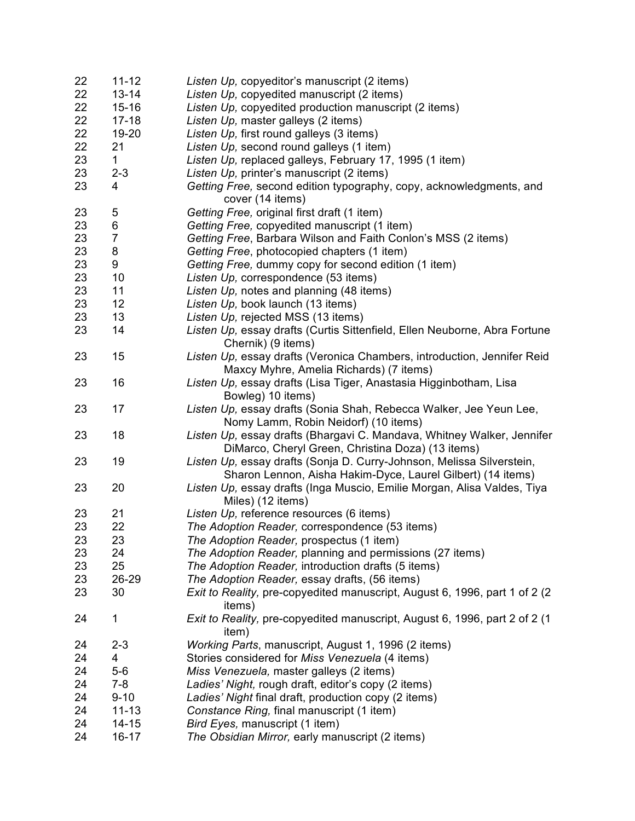| 22 | $11 - 12$      | Listen Up, copyeditor's manuscript (2 items)                                |
|----|----------------|-----------------------------------------------------------------------------|
| 22 | $13 - 14$      | Listen Up, copyedited manuscript (2 items)                                  |
| 22 | $15 - 16$      | Listen Up, copyedited production manuscript (2 items)                       |
| 22 | $17 - 18$      | Listen Up, master galleys (2 items)                                         |
| 22 | 19-20          | Listen Up, first round galleys (3 items)                                    |
| 22 | 21             | Listen Up, second round galleys (1 item)                                    |
| 23 | 1              | Listen Up, replaced galleys, February 17, 1995 (1 item)                     |
|    |                |                                                                             |
| 23 | $2 - 3$        | Listen Up, printer's manuscript (2 items)                                   |
| 23 | 4              | Getting Free, second edition typography, copy, acknowledgments, and         |
|    |                | cover (14 items)                                                            |
| 23 | 5              | Getting Free, original first draft (1 item)                                 |
| 23 | 6              | Getting Free, copyedited manuscript (1 item)                                |
| 23 | $\overline{7}$ | Getting Free, Barbara Wilson and Faith Conlon's MSS (2 items)               |
| 23 | 8              | Getting Free, photocopied chapters (1 item)                                 |
| 23 | 9              | Getting Free, dummy copy for second edition (1 item)                        |
| 23 | 10             | Listen Up, correspondence (53 items)                                        |
| 23 | 11             | Listen Up, notes and planning (48 items)                                    |
| 23 | 12             | Listen Up, book launch (13 items)                                           |
| 23 | 13             | Listen Up, rejected MSS (13 items)                                          |
| 23 | 14             | Listen Up, essay drafts (Curtis Sittenfield, Ellen Neuborne, Abra Fortune   |
|    |                | Chernik) (9 items)                                                          |
| 23 | 15             |                                                                             |
|    |                | Listen Up, essay drafts (Veronica Chambers, introduction, Jennifer Reid     |
|    |                | Maxcy Myhre, Amelia Richards) (7 items)                                     |
| 23 | 16             | Listen Up, essay drafts (Lisa Tiger, Anastasia Higginbotham, Lisa           |
|    |                | Bowleg) 10 items)                                                           |
| 23 | 17             | Listen Up, essay drafts (Sonia Shah, Rebecca Walker, Jee Yeun Lee,          |
|    |                | Nomy Lamm, Robin Neidorf) (10 items)                                        |
| 23 | 18             | Listen Up, essay drafts (Bhargavi C. Mandava, Whitney Walker, Jennifer      |
|    |                | DiMarco, Cheryl Green, Christina Doza) (13 items)                           |
| 23 | 19             | Listen Up, essay drafts (Sonja D. Curry-Johnson, Melissa Silverstein,       |
|    |                | Sharon Lennon, Aisha Hakim-Dyce, Laurel Gilbert) (14 items)                 |
| 23 | 20             | Listen Up, essay drafts (Inga Muscio, Emilie Morgan, Alisa Valdes, Tiya     |
|    |                | Miles) (12 items)                                                           |
| 23 | 21             | Listen Up, reference resources (6 items)                                    |
| 23 | 22             | The Adoption Reader, correspondence (53 items)                              |
| 23 | 23             | The Adoption Reader, prospectus (1 item)                                    |
| 23 | 24             | The Adoption Reader, planning and permissions (27 items)                    |
| 23 | 25             |                                                                             |
|    |                | The Adoption Reader, introduction drafts (5 items)                          |
| 23 | 26-29          | The Adoption Reader, essay drafts, (56 items)                               |
| 23 | 30             | Exit to Reality, pre-copyedited manuscript, August 6, 1996, part 1 of 2 (2) |
|    |                | items)                                                                      |
| 24 | 1              | Exit to Reality, pre-copyedited manuscript, August 6, 1996, part 2 of 2 (1  |
|    |                | item)                                                                       |
| 24 | $2 - 3$        | Working Parts, manuscript, August 1, 1996 (2 items)                         |
| 24 | 4              | Stories considered for Miss Venezuela (4 items)                             |
| 24 | $5-6$          | Miss Venezuela, master galleys (2 items)                                    |
| 24 | $7 - 8$        | Ladies' Night, rough draft, editor's copy (2 items)                         |
| 24 | $9 - 10$       | Ladies' Night final draft, production copy (2 items)                        |
| 24 | $11 - 13$      | Constance Ring, final manuscript (1 item)                                   |
| 24 | $14 - 15$      | Bird Eyes, manuscript (1 item)                                              |
| 24 | $16 - 17$      | The Obsidian Mirror, early manuscript (2 items)                             |
|    |                |                                                                             |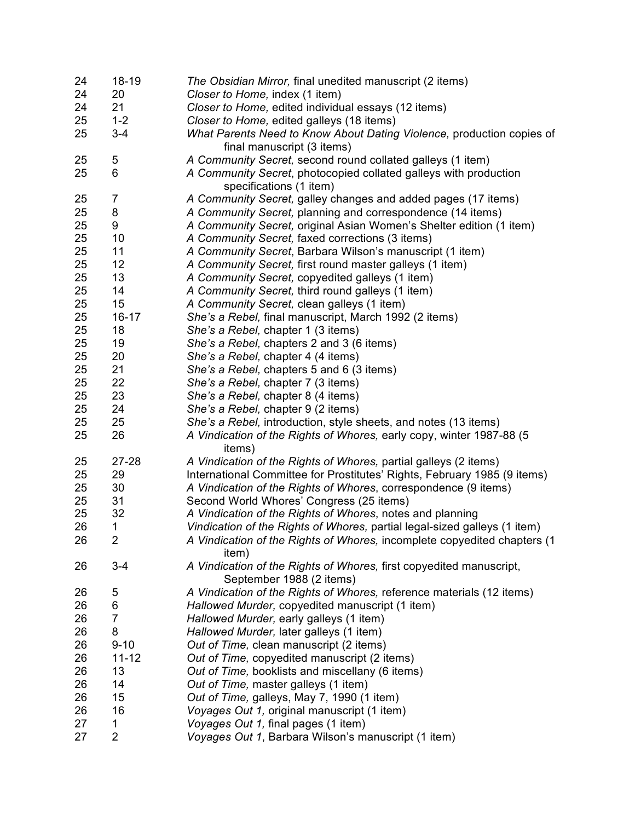| 24 | $18 - 19$      | The Obsidian Mirror, final unedited manuscript (2 items)                          |
|----|----------------|-----------------------------------------------------------------------------------|
| 24 | 20             | Closer to Home, index (1 item)                                                    |
| 24 | 21             | Closer to Home, edited individual essays (12 items)                               |
| 25 | $1 - 2$        | Closer to Home, edited galleys (18 items)                                         |
| 25 | $3 - 4$        | What Parents Need to Know About Dating Violence, production copies of             |
|    |                | final manuscript (3 items)                                                        |
| 25 | 5              | A Community Secret, second round collated galleys (1 item)                        |
| 25 | 6              | A Community Secret, photocopied collated galleys with production                  |
|    |                | specifications (1 item)                                                           |
| 25 | 7              | A Community Secret, galley changes and added pages (17 items)                     |
| 25 | 8              | A Community Secret, planning and correspondence (14 items)                        |
| 25 | 9              | A Community Secret, original Asian Women's Shelter edition (1 item)               |
| 25 | 10             | A Community Secret, faxed corrections (3 items)                                   |
| 25 | 11             | A Community Secret, Barbara Wilson's manuscript (1 item)                          |
| 25 | 12             |                                                                                   |
|    |                | A Community Secret, first round master galleys (1 item)                           |
| 25 | 13             | A Community Secret, copyedited galleys (1 item)                                   |
| 25 | 14             | A Community Secret, third round galleys (1 item)                                  |
| 25 | 15             | A Community Secret, clean galleys (1 item)                                        |
| 25 | $16 - 17$      | She's a Rebel, final manuscript, March 1992 (2 items)                             |
| 25 | 18             | She's a Rebel, chapter 1 (3 items)                                                |
| 25 | 19             | She's a Rebel, chapters 2 and 3 (6 items)                                         |
| 25 | 20             | She's a Rebel, chapter 4 (4 items)                                                |
| 25 | 21             | She's a Rebel, chapters 5 and 6 (3 items)                                         |
| 25 | 22             | She's a Rebel, chapter 7 (3 items)                                                |
| 25 | 23             | She's a Rebel, chapter 8 (4 items)                                                |
| 25 | 24             | She's a Rebel, chapter 9 (2 items)                                                |
| 25 | 25             | She's a Rebel, introduction, style sheets, and notes (13 items)                   |
| 25 | 26             | A Vindication of the Rights of Whores, early copy, winter 1987-88 (5<br>items)    |
| 25 | 27-28          | A Vindication of the Rights of Whores, partial galleys (2 items)                  |
| 25 | 29             | International Committee for Prostitutes' Rights, February 1985 (9 items)          |
| 25 | 30             | A Vindication of the Rights of Whores, correspondence (9 items)                   |
| 25 | 31             | Second World Whores' Congress (25 items)                                          |
| 25 | 32             | A Vindication of the Rights of Whores, notes and planning                         |
| 26 | 1              | Vindication of the Rights of Whores, partial legal-sized galleys (1 item)         |
| 26 | 2              | A Vindication of the Rights of Whores, incomplete copyedited chapters (1<br>item) |
| 26 | $3 - 4$        | A Vindication of the Rights of Whores, first copyedited manuscript,               |
|    |                | September 1988 (2 items)                                                          |
| 26 | 5              | A Vindication of the Rights of Whores, reference materials (12 items)             |
| 26 | 6              | Hallowed Murder, copyedited manuscript (1 item)                                   |
| 26 | $\overline{7}$ | Hallowed Murder, early galleys (1 item)                                           |
| 26 | 8              | Hallowed Murder, later galleys (1 item)                                           |
|    |                | Out of Time, clean manuscript (2 items)                                           |
| 26 | $9 - 10$       |                                                                                   |
| 26 | $11 - 12$      | Out of Time, copyedited manuscript (2 items)                                      |
| 26 | 13             | Out of Time, booklists and miscellany (6 items)                                   |
| 26 | 14             | Out of Time, master galleys (1 item)                                              |
| 26 | 15             | Out of Time, galleys, May 7, 1990 (1 item)                                        |
| 26 | 16             | Voyages Out 1, original manuscript (1 item)                                       |
| 27 | 1              | Voyages Out 1, final pages (1 item)                                               |
| 27 | $\overline{2}$ | Voyages Out 1, Barbara Wilson's manuscript (1 item)                               |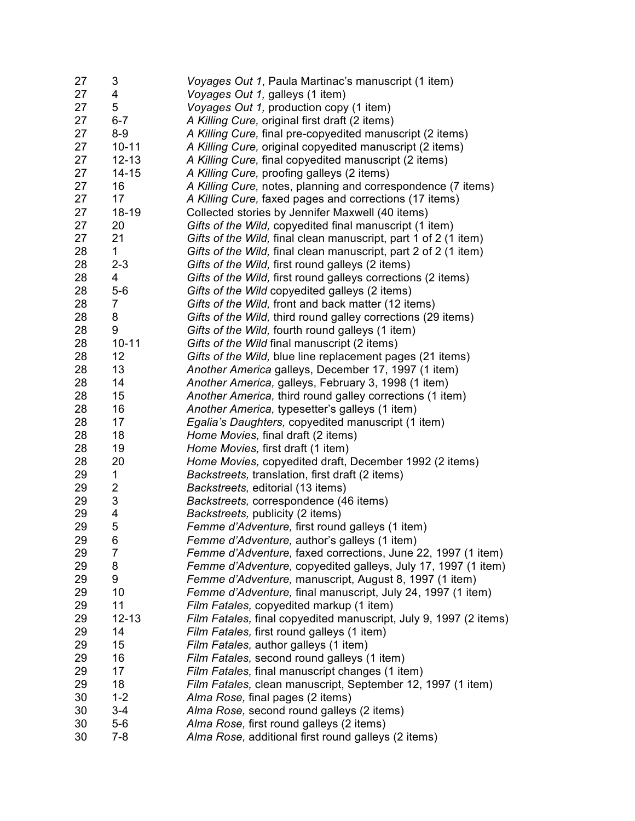| 27 | 3              | Voyages Out 1, Paula Martinac's manuscript (1 item)               |
|----|----------------|-------------------------------------------------------------------|
| 27 | 4              | Voyages Out 1, galleys (1 item)                                   |
| 27 | 5              | Voyages Out 1, production copy (1 item)                           |
| 27 | $6 - 7$        | A Killing Cure, original first draft (2 items)                    |
| 27 | $8-9$          | A Killing Cure, final pre-copyedited manuscript (2 items)         |
| 27 | $10 - 11$      | A Killing Cure, original copyedited manuscript (2 items)          |
| 27 | $12 - 13$      | A Killing Cure, final copyedited manuscript (2 items)             |
| 27 | $14 - 15$      | A Killing Cure, proofing galleys (2 items)                        |
| 27 | 16             | A Killing Cure, notes, planning and correspondence (7 items)      |
| 27 | 17             | A Killing Cure, faxed pages and corrections (17 items)            |
| 27 | $18 - 19$      | Collected stories by Jennifer Maxwell (40 items)                  |
| 27 | 20             | Gifts of the Wild, copyedited final manuscript (1 item)           |
| 27 | 21             | Gifts of the Wild, final clean manuscript, part 1 of 2 (1 item)   |
| 28 | 1              | Gifts of the Wild, final clean manuscript, part 2 of 2 (1 item)   |
| 28 | $2 - 3$        | Gifts of the Wild, first round galleys (2 items)                  |
| 28 | 4              | Gifts of the Wild, first round galleys corrections (2 items)      |
| 28 | $5-6$          | Gifts of the Wild copyedited galleys (2 items)                    |
| 28 | $\overline{7}$ | Gifts of the Wild, front and back matter (12 items)               |
| 28 | 8              | Gifts of the Wild, third round galley corrections (29 items)      |
| 28 | 9              | Gifts of the Wild, fourth round galleys (1 item)                  |
| 28 | $10 - 11$      | Gifts of the Wild final manuscript (2 items)                      |
| 28 | 12             | Gifts of the Wild, blue line replacement pages (21 items)         |
| 28 | 13             | Another America galleys, December 17, 1997 (1 item)               |
| 28 | 14             | Another America, galleys, February 3, 1998 (1 item)               |
| 28 | 15             | Another America, third round galley corrections (1 item)          |
| 28 | 16             | Another America, typesetter's galleys (1 item)                    |
| 28 | 17             |                                                                   |
|    |                | Egalia's Daughters, copyedited manuscript (1 item)                |
| 28 | 18<br>19       | Home Movies, final draft (2 items)                                |
| 28 | 20             | Home Movies, first draft (1 item)                                 |
| 28 |                | Home Movies, copyedited draft, December 1992 (2 items)            |
| 29 | 1              | Backstreets, translation, first draft (2 items)                   |
| 29 | $\overline{c}$ | Backstreets, editorial (13 items)                                 |
| 29 | 3              | Backstreets, correspondence (46 items)                            |
| 29 | 4              | Backstreets, publicity (2 items)                                  |
| 29 | 5              | Femme d'Adventure, first round galleys (1 item)                   |
| 29 | 6              | Femme d'Adventure, author's galleys (1 item)                      |
| 29 | 7              | Femme d'Adventure, faxed corrections, June 22, 1997 (1 item)      |
| 29 | 8              | Femme d'Adventure, copyedited galleys, July 17, 1997 (1 item)     |
| 29 | 9              | Femme d'Adventure, manuscript, August 8, 1997 (1 item)            |
| 29 | 10             | Femme d'Adventure, final manuscript, July 24, 1997 (1 item)       |
| 29 | 11             | Film Fatales, copyedited markup (1 item)                          |
| 29 | $12 - 13$      | Film Fatales, final copyedited manuscript, July 9, 1997 (2 items) |
| 29 | 14             | Film Fatales, first round galleys (1 item)                        |
| 29 | 15             | Film Fatales, author galleys (1 item)                             |
| 29 | 16             | Film Fatales, second round galleys (1 item)                       |
| 29 | 17             | Film Fatales, final manuscript changes (1 item)                   |
| 29 | 18             | Film Fatales, clean manuscript, September 12, 1997 (1 item)       |
| 30 | $1 - 2$        | Alma Rose, final pages (2 items)                                  |
| 30 | $3 - 4$        | Alma Rose, second round galleys (2 items)                         |
| 30 | $5-6$          | Alma Rose, first round galleys (2 items)                          |
| 30 | $7 - 8$        | Alma Rose, additional first round galleys (2 items)               |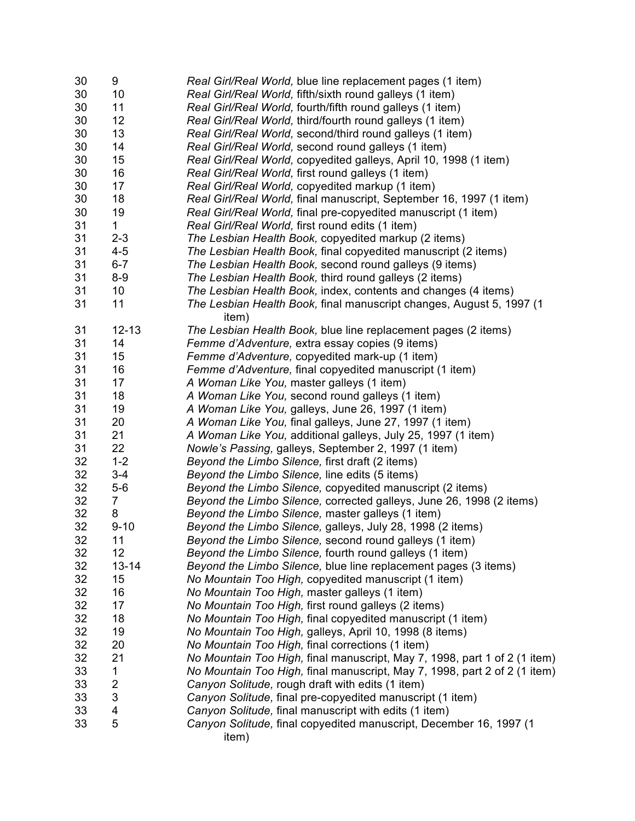| 30       | 9                       | Real Girl/Real World, blue line replacement pages (1 item)                  |
|----------|-------------------------|-----------------------------------------------------------------------------|
| 30       | 10                      | Real Girl/Real World, fifth/sixth round galleys (1 item)                    |
| 30       | 11                      | Real Girl/Real World, fourth/fifth round galleys (1 item)                   |
| 30       | 12                      | Real Girl/Real World, third/fourth round galleys (1 item)                   |
| 30       | 13                      | Real Girl/Real World, second/third round galleys (1 item)                   |
| 30       | 14                      | Real Girl/Real World, second round galleys (1 item)                         |
| 30       | 15                      | Real Girl/Real World, copyedited galleys, April 10, 1998 (1 item)           |
| 30       | 16                      | Real Girl/Real World, first round galleys (1 item)                          |
| 30       | 17                      | Real Girl/Real World, copyedited markup (1 item)                            |
| 30       | 18                      | Real Girl/Real World, final manuscript, September 16, 1997 (1 item)         |
| 30       | 19                      | Real Girl/Real World, final pre-copyedited manuscript (1 item)              |
| 31       | 1                       | Real Girl/Real World, first round edits (1 item)                            |
| 31       | $2 - 3$                 | The Lesbian Health Book, copyedited markup (2 items)                        |
| 31       | $4 - 5$                 | The Lesbian Health Book, final copyedited manuscript (2 items)              |
| 31       | $6 - 7$                 | The Lesbian Health Book, second round galleys (9 items)                     |
| 31       | $8 - 9$                 | The Lesbian Health Book, third round galleys (2 items)                      |
| 31       | 10 <sup>°</sup>         | The Lesbian Health Book, index, contents and changes (4 items)              |
| 31       | 11                      | The Lesbian Health Book, final manuscript changes, August 5, 1997 (1        |
|          |                         | item)                                                                       |
| 31       | $12 - 13$               | The Lesbian Health Book, blue line replacement pages (2 items)              |
| 31       | 14                      | Femme d'Adventure, extra essay copies (9 items)                             |
| 31       | 15                      | Femme d'Adventure, copyedited mark-up (1 item)                              |
| 31       | 16                      | Femme d'Adventure, final copyedited manuscript (1 item)                     |
| 31       | 17                      | A Woman Like You, master galleys (1 item)                                   |
| 31       | 18                      | A Woman Like You, second round galleys (1 item)                             |
| 31       | 19                      | A Woman Like You, galleys, June 26, 1997 (1 item)                           |
| 31       | 20                      | A Woman Like You, final galleys, June 27, 1997 (1 item)                     |
| 31       | 21                      | A Woman Like You, additional galleys, July 25, 1997 (1 item)                |
| 31       | 22                      | Nowle's Passing, galleys, September 2, 1997 (1 item)                        |
| 32       | $1 - 2$                 | Beyond the Limbo Silence, first draft (2 items)                             |
| 32       | $3 - 4$                 | Beyond the Limbo Silence, line edits (5 items)                              |
| 32       | $5-6$                   | Beyond the Limbo Silence, copyedited manuscript (2 items)                   |
| 32       | $\overline{7}$          | Beyond the Limbo Silence, corrected galleys, June 26, 1998 (2 items)        |
| 32       | 8                       | Beyond the Limbo Silence, master galleys (1 item)                           |
| 32       | $9 - 10$                | Beyond the Limbo Silence, galleys, July 28, 1998 (2 items)                  |
| 32       | 11                      | Beyond the Limbo Silence, second round galleys (1 item)                     |
| 32       | 12                      | Beyond the Limbo Silence, fourth round galleys (1 item)                     |
| 32       | $13 - 14$               | Beyond the Limbo Silence, blue line replacement pages (3 items)             |
| 32       | 15                      | No Mountain Too High, copyedited manuscript (1 item)                        |
| 32       | 16                      | No Mountain Too High, master galleys (1 item)                               |
| 32       | 17                      | No Mountain Too High, first round galleys (2 items)                         |
| 32       | 18                      | No Mountain Too High, final copyedited manuscript (1 item)                  |
| 32       | 19                      | No Mountain Too High, galleys, April 10, 1998 (8 items)                     |
| 32       | 20                      | No Mountain Too High, final corrections (1 item)                            |
| 32       | 21                      | No Mountain Too High, final manuscript, May 7, 1998, part 1 of 2 (1 item)   |
|          |                         |                                                                             |
| 33<br>33 | 1                       | No Mountain Too High, final manuscript, May 7, 1998, part 2 of 2 (1 item)   |
|          | $\overline{\mathbf{c}}$ | Canyon Solitude, rough draft with edits (1 item)                            |
| 33       | 3                       | Canyon Solitude, final pre-copyedited manuscript (1 item)                   |
| 33       | 4                       | Canyon Solitude, final manuscript with edits (1 item)                       |
| 33       | 5                       | Canyon Solitude, final copyedited manuscript, December 16, 1997 (1<br>item) |
|          |                         |                                                                             |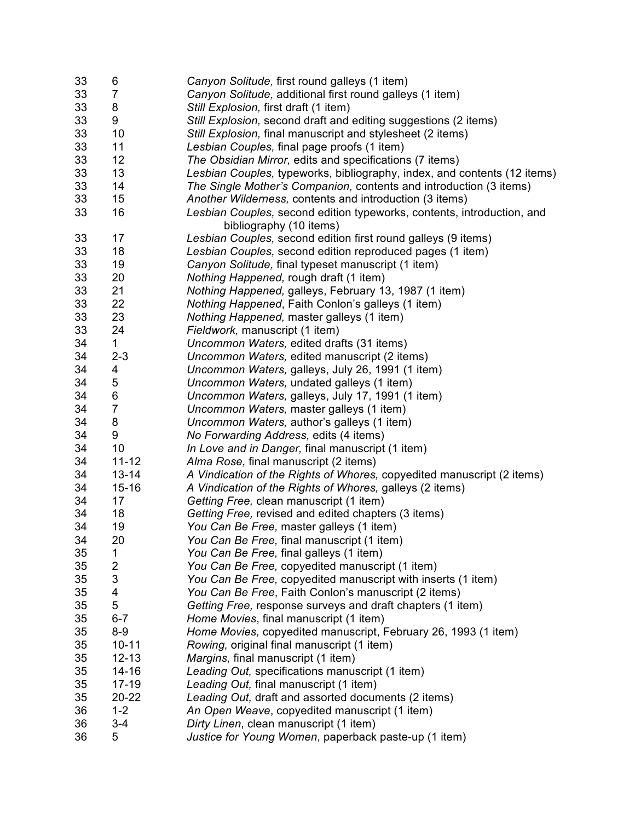| 33       | 6                            | Canyon Solitude, first round galleys (1 item)                            |
|----------|------------------------------|--------------------------------------------------------------------------|
| 33       | 7                            | Canyon Solitude, additional first round galleys (1 item)                 |
| 33       | 8                            | Still Explosion, first draft (1 item)                                    |
| 33       | 9                            | Still Explosion, second draft and editing suggestions (2 items)          |
| 33       | 10                           | Still Explosion, final manuscript and stylesheet (2 items)               |
| 33       | 11                           | Lesbian Couples, final page proofs (1 item)                              |
| 33       | 12                           | The Obsidian Mirror, edits and specifications (7 items)                  |
| 33       | 13                           | Lesbian Couples, typeworks, bibliography, index, and contents (12 items) |
| 33       | 14                           | The Single Mother's Companion, contents and introduction (3 items)       |
| 33       | 15                           | Another Wilderness, contents and introduction (3 items)                  |
| 33       | 16                           | Lesbian Couples, second edition typeworks, contents, introduction, and   |
|          |                              | bibliography (10 items)                                                  |
| 33       | 17                           | Lesbian Couples, second edition first round galleys (9 items)            |
| 33       | 18                           | Lesbian Couples, second edition reproduced pages (1 item)                |
| 33       | 19                           | Canyon Solitude, final typeset manuscript (1 item)                       |
| 33       | 20                           | Nothing Happened, rough draft (1 item)                                   |
| 33       | 21                           | Nothing Happened, galleys, February 13, 1987 (1 item)                    |
| 33       | 22                           | Nothing Happened, Faith Conlon's galleys (1 item)                        |
| 33       | 23                           | Nothing Happened, master galleys (1 item)                                |
| 33       | 24                           | Fieldwork, manuscript (1 item)                                           |
| 34       | 1                            | Uncommon Waters, edited drafts (31 items)                                |
| 34       | $2 - 3$                      | Uncommon Waters, edited manuscript (2 items)                             |
| 34       | 4                            | Uncommon Waters, galleys, July 26, 1991 (1 item)                         |
| 34       | 5                            | Uncommon Waters, undated galleys (1 item)                                |
| 34       | 6                            |                                                                          |
| 34       | $\overline{7}$               | Uncommon Waters, galleys, July 17, 1991 (1 item)                         |
| 34       | 8                            | Uncommon Waters, master galleys (1 item)                                 |
| 34       | 9                            | Uncommon Waters, author's galleys (1 item)                               |
| 34       | 10                           | No Forwarding Address, edits (4 items)                                   |
| 34       | $11 - 12$                    | In Love and in Danger, final manuscript (1 item)                         |
|          | $13 - 14$                    | Alma Rose, final manuscript (2 items)                                    |
| 34       |                              | A Vindication of the Rights of Whores, copyedited manuscript (2 items)   |
| 34       | $15 - 16$                    | A Vindication of the Rights of Whores, galleys (2 items)                 |
| 34<br>34 | 17<br>18                     | Getting Free, clean manuscript (1 item)                                  |
| 34       |                              | Getting Free, revised and edited chapters (3 items)                      |
|          | 19                           | You Can Be Free, master galleys (1 item)                                 |
| 34       | 20                           | You Can Be Free, final manuscript (1 item)                               |
| 35       | 1                            | You Can Be Free, final galleys (1 item)                                  |
| 35       | $\overline{\mathbf{c}}$<br>3 | You Can Be Free, copyedited manuscript (1 item)                          |
| 35       |                              | You Can Be Free, copyedited manuscript with inserts (1 item)             |
| 35       | 4<br>5                       | You Can Be Free, Faith Conlon's manuscript (2 items)                     |
| 35       |                              | Getting Free, response surveys and draft chapters (1 item)               |
| 35       | $6 - 7$                      | Home Movies, final manuscript (1 item)                                   |
| 35       | $8 - 9$                      | Home Movies, copyedited manuscript, February 26, 1993 (1 item)           |
| 35       | $10 - 11$                    | Rowing, original final manuscript (1 item)                               |
| 35       | $12 - 13$                    | Margins, final manuscript (1 item)                                       |
| 35       | $14 - 16$                    | Leading Out, specifications manuscript (1 item)                          |
| 35       | $17 - 19$                    | Leading Out, final manuscript (1 item)                                   |
| 35       | 20-22                        | Leading Out, draft and assorted documents (2 items)                      |
| 36       | $1 - 2$                      | An Open Weave, copyedited manuscript (1 item)                            |
| 36       | $3 - 4$                      | Dirty Linen, clean manuscript (1 item)                                   |
| 36       | 5                            | Justice for Young Women, paperback paste-up (1 item)                     |